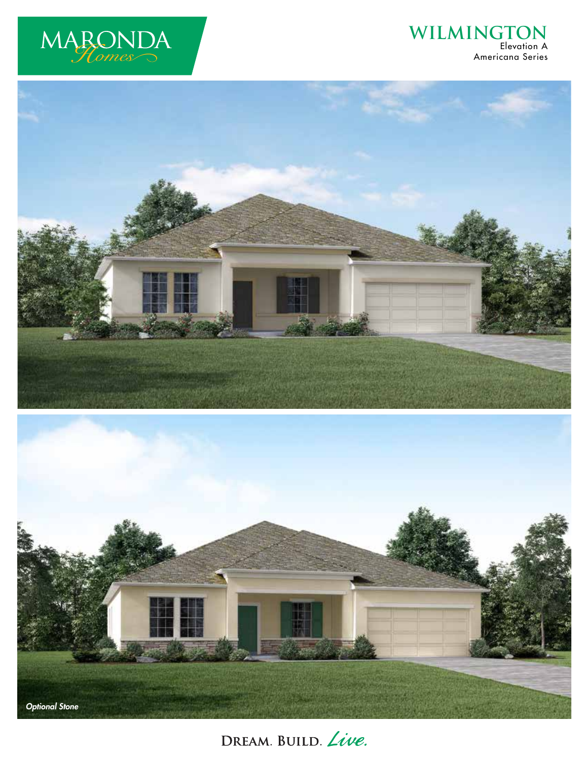

## **WILMINGTON** Elevation A Americana Series





DREAM. BUILD. Live.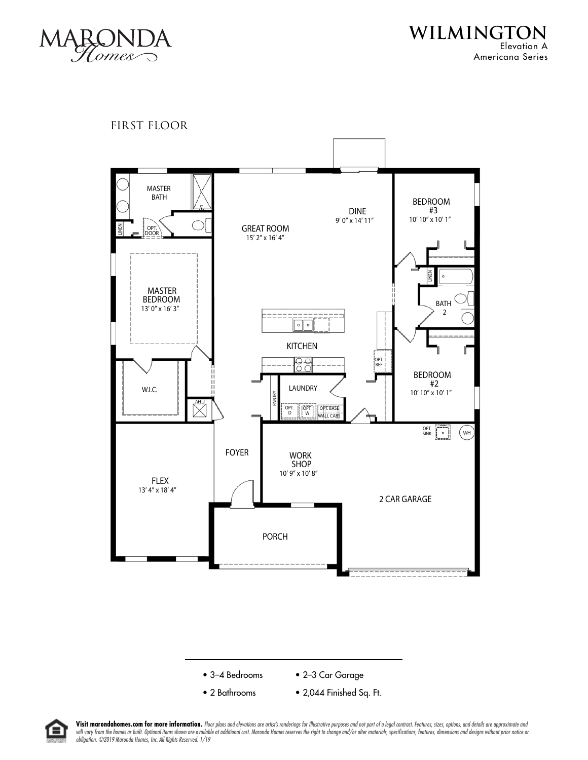

**WILMINGTON** Elevation A Americana Series

FIRST FLOOR







Visit marondahomes.com for more information. Floor plans and elevations are artist's renderings for Illustrative purposes and not part of a legal contract. Features, sizes, options, and details are approximate and will vary from the homes as built. Optional items shown are available at additional cost. Maronda Homes reserves the right to change and/or alter materials, specifications, features, dimensions and designs without prior no *obligation. ©2019 Maronda Homes, Inc. All Rights Reserved. 1/19*